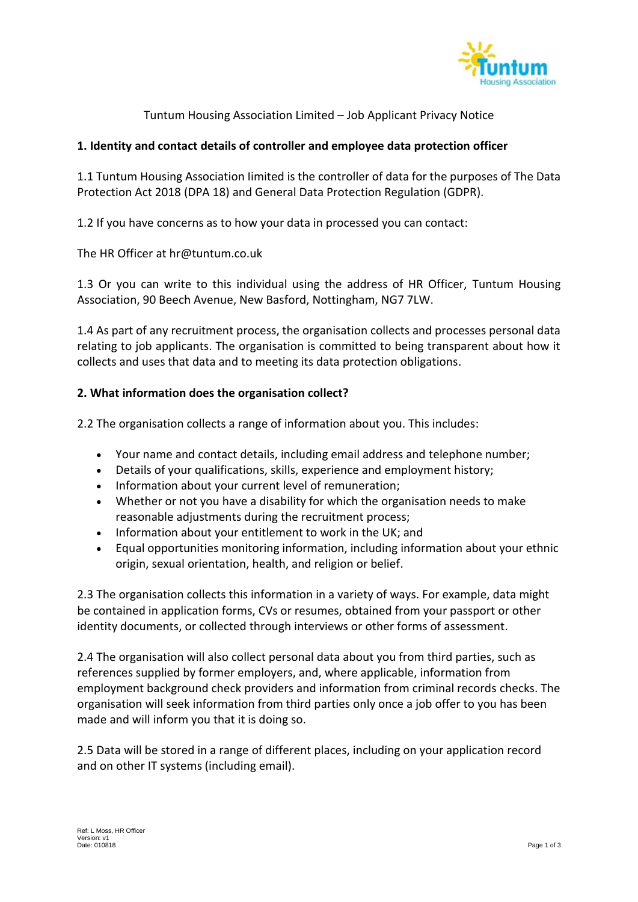

Tuntum Housing Association Limited – Job Applicant Privacy Notice

# **1. Identity and contact details of controller and employee data protection officer**

1.1 Tuntum Housing Association Iimited is the controller of data for the purposes of The Data Protection Act 2018 (DPA 18) and General Data Protection Regulation (GDPR).

1.2 If you have concerns as to how your data in processed you can contact:

The HR Officer at [hr@tuntum.co.uk](mailto:hr@tuntum.co.uk)

1.3 Or you can write to this individual using the address of HR Officer, Tuntum Housing Association, 90 Beech Avenue, New Basford, Nottingham, NG7 7LW.

1.4 As part of any recruitment process, the organisation collects and processes personal data relating to job applicants. The organisation is committed to being transparent about how it collects and uses that data and to meeting its data protection obligations.

## **2. What information does the organisation collect?**

2.2 The organisation collects a range of information about you. This includes:

- Your name and contact details, including email address and telephone number;
- Details of your qualifications, skills, experience and employment history;
- Information about your current level of remuneration;
- Whether or not you have a disability for which the organisation needs to make reasonable adjustments during the recruitment process;
- Information about your entitlement to work in the UK; and
- Equal opportunities monitoring information, including information about your ethnic origin, sexual orientation, health, and religion or belief.

2.3 The organisation collects this information in a variety of ways. For example, data might be contained in application forms, CVs or resumes, obtained from your passport or other identity documents, or collected through interviews or other forms of assessment.

2.4 The organisation will also collect personal data about you from third parties, such as references supplied by former employers, and, where applicable, information from employment background check providers and information from criminal records checks. The organisation will seek information from third parties only once a job offer to you has been made and will inform you that it is doing so.

2.5 Data will be stored in a range of different places, including on your application record and on other IT systems (including email).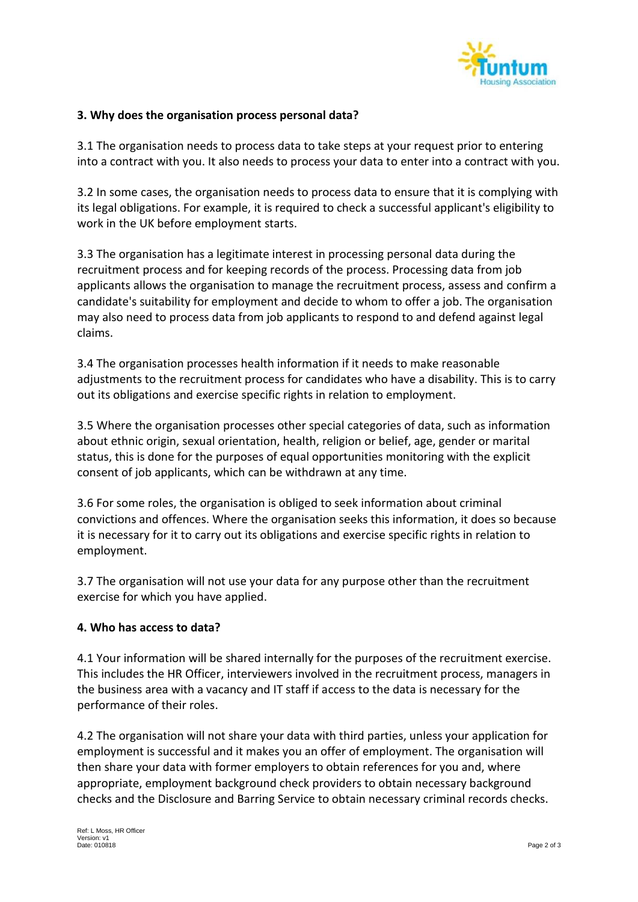

### **3. Why does the organisation process personal data?**

3.1 The organisation needs to process data to take steps at your request prior to entering into a contract with you. It also needs to process your data to enter into a contract with you.

3.2 In some cases, the organisation needs to process data to ensure that it is complying with its legal obligations. For example, it is required to check a successful applicant's eligibility to work in the UK before employment starts.

3.3 The organisation has a legitimate interest in processing personal data during the recruitment process and for keeping records of the process. Processing data from job applicants allows the organisation to manage the recruitment process, assess and confirm a candidate's suitability for employment and decide to whom to offer a job. The organisation may also need to process data from job applicants to respond to and defend against legal claims.

3.4 The organisation processes health information if it needs to make reasonable adjustments to the recruitment process for candidates who have a disability. This is to carry out its obligations and exercise specific rights in relation to employment.

3.5 Where the organisation processes other special categories of data, such as information about ethnic origin, sexual orientation, health, religion or belief, age, gender or marital status, this is done for the purposes of equal opportunities monitoring with the explicit consent of job applicants, which can be withdrawn at any time.

3.6 For some roles, the organisation is obliged to seek information about criminal convictions and offences. Where the organisation seeks this information, it does so because it is necessary for it to carry out its obligations and exercise specific rights in relation to employment.

3.7 The organisation will not use your data for any purpose other than the recruitment exercise for which you have applied.

#### **4. Who has access to data?**

4.1 Your information will be shared internally for the purposes of the recruitment exercise. This includes the HR Officer, interviewers involved in the recruitment process, managers in the business area with a vacancy and IT staff if access to the data is necessary for the performance of their roles.

4.2 The organisation will not share your data with third parties, unless your application for employment is successful and it makes you an offer of employment. The organisation will then share your data with former employers to obtain references for you and, where appropriate, employment background check providers to obtain necessary background checks and the Disclosure and Barring Service to obtain necessary criminal records checks.